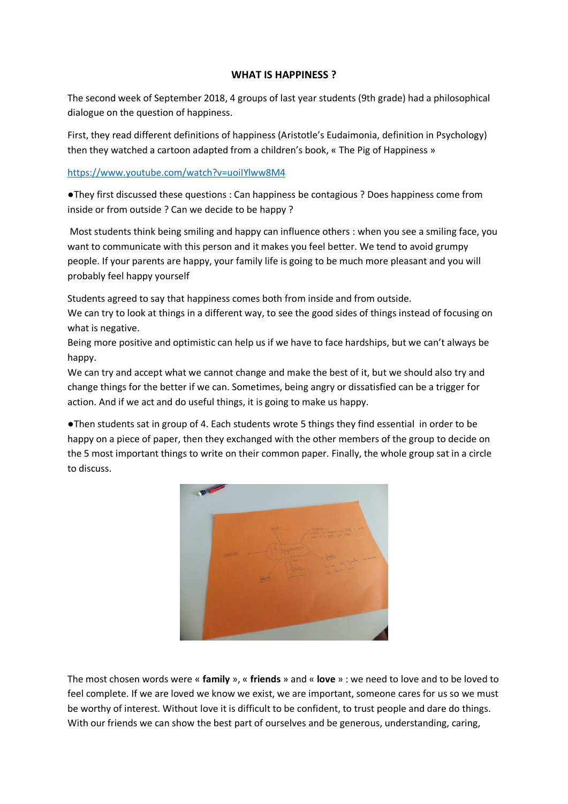## **WHAT IS HAPPINESS ?**

The second week of September 2018, 4 groups of last year students (9th grade) had a philosophical dialogue on the question of happiness.

First, they read different definitions of happiness (Aristotle's Eudaimonia, definition in Psychology) then they watched a cartoon adapted from a children's book, « The Pig of Happiness »

<https://www.youtube.com/watch?v=uoiIYlww8M4>

●They first discussed these questions : Can happiness be contagious ? Does happiness come from inside or from outside ? Can we decide to be happy ?

Most students think being smiling and happy can influence others : when you see a smiling face, you want to communicate with this person and it makes you feel better. We tend to avoid grumpy people. If your parents are happy, your family life is going to be much more pleasant and you will probably feel happy yourself

Students agreed to say that happiness comes both from inside and from outside. We can try to look at things in a different way, to see the good sides of things instead of focusing on what is negative.

Being more positive and optimistic can help us if we have to face hardships, but we can't always be happy.

We can try and accept what we cannot change and make the best of it, but we should also try and change things for the better if we can. Sometimes, being angry or dissatisfied can be a trigger for action. And if we act and do useful things, it is going to make us happy.

●Then students sat in group of 4. Each students wrote 5 things they find essential in order to be happy on a piece of paper, then they exchanged with the other members of the group to decide on the 5 most important things to write on their common paper. Finally, the whole group sat in a circle to discuss.



The most chosen words were « **family** », « **friends** » and « **love** » : we need to love and to be loved to feel complete. If we are loved we know we exist, we are important, someone cares for us so we must be worthy of interest. Without love it is difficult to be confident, to trust people and dare do things. With our friends we can show the best part of ourselves and be generous, understanding, caring,